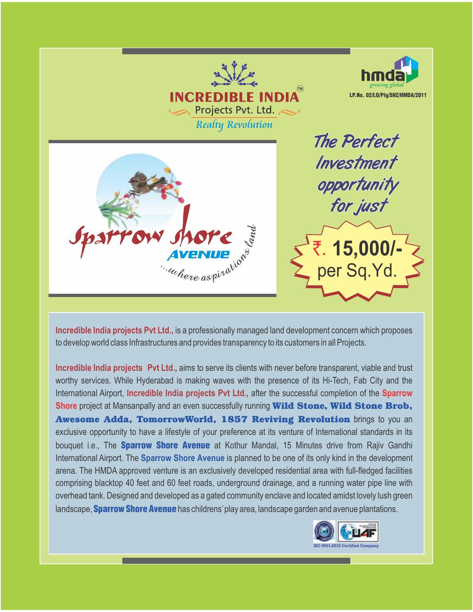

**Incredible India projects Pvt Ltd.,** is a professionally managed land development concern which proposes to develop world class Infrastructures and provides transparency to its customers in all Projects.

**Incredible India projects Pvt Ltd.,** aims to serve its clients with never before transparent, viable and trust worthy services. While Hyderabad is making waves with the presence of its Hi-Tech, Fab City and the International Airport, **Incredible India projects Pvt Ltd.,** after the successful completion of the **Sparrow Shore** project at Mansanpally and an even successfully running **Wild Stone, Wild Stone Brob, Awesome Adda, TomorrowWorld, 1857 Reviving Revolution** brings to you an exclusive opportunity to have a lifestyle of your preference at its venture of International standards in its bouquet i.e., The **Sparrow Shore Avenue** at Kothur Mandal, 15 Minutes drive from Rajiv Gandhi International Airport. The **Sparrow Shore Avenue** is planned to be one of its only kind in the development arena. The HMDA approved venture is an exclusively developed residential area with full-fledged facilities comprising blacktop 40 feet and 60 feet roads, underground drainage, and a running water pipe line with overhead tank. Designed and developed as a gated community enclave and located amidst lovely lush green landscape, **Sparrow Shore Avenue** has childrens' play area, landscape garden and avenue plantations.